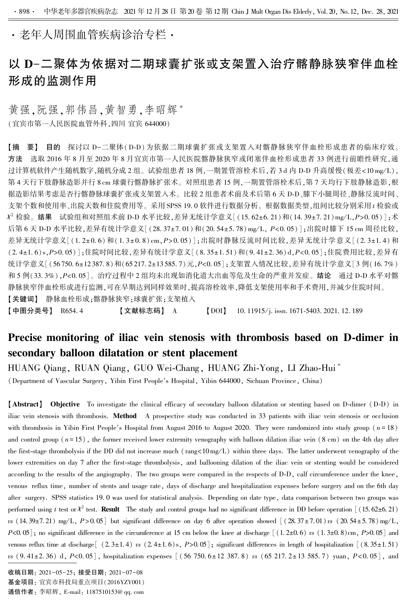·老年人周围血管疾病诊治专栏·

# 以 D-二聚体为依据对二期球囊扩张或支架置入治疗髂静脉狭窄伴血栓 形成的监测作用

黄强,阮强,郭伟昌,黄智勇,李昭辉\* (宜宾市第一人民医院血管外科,四川 宜宾 644000)

【摘 要】 目的 探讨以 D-二聚体(D-D) 为依据二期球囊扩张或支架置入对髂静脉狭窄伴血栓形成患者的临床疗效。 方法 选取 2016 年 8 月至 2020 年 8 月宜宾市第一人民医院髂静脉狭窄或闭塞伴血栓形成患者 33 例进行前瞻性研究,通 过计算机软件产生随机数字,随机分成 2 组。试验组患者 18 例,一期置管溶栓术后,若 3 d 内 D-D 升高缓慢(极差<10 mg/L), 第 4 天行下肢静脉造影并行 8 cm 球囊行髂静脉扩张术。 对照组患者 15 例,一期置管溶栓术后,第 7 天均行下肢静脉造影,根 据造影结果考虑是否行髂静脉球囊扩张或支架置入术。比较2组患者术前及术后第6天 D-D、膝下小腿周径、静脉反流时间、 支架个数和使用率、出院天数和住院费用等。采用 SPSS 19.0 软件进行数据分析。根据数据类型,组间比较分别采用 t 检验或  $\mathcal{X}^2$  检验。<mark>结果</mark> 试验组和对照组术前 D-D 水平比较,差异无统计学意义[(15.62±6.21)和(14.39±7.21)mg/L,*P*>0.05)];术 后第 6 天 D-D 水平比较,差异有统计学意义 [(28. 37±7. 01)和 (20. 54±5. 78) mg/L, P<0. 05)];出院时膝下 15 cm 周径比较, 差异无统计学意义[(1. 2±0. 6) 和(1. 3±0. 8) cm,P>0. 05)];出院时静脉反流时间比较,差异无统计学意义[(2. 3±1. 4) 和 (2. 4±1. 6)s,P>0. 05)];住院时间比较,差异有统计学意义[(8. 35±1. 51)和(9. 41±2. 36) d,P<0. 05];住院费用比较,差异有 统计学意义[(56 750. 6±12 387. 8)和(65 217. 2±13 585. 7)元,P<0. 05];支架置入情况比较,差异有统计学意义[3例(16. 7%) 和 5 例(33.3%), P<0.05]。治疗过程中 2 组均未出现如消化道大出血等危及生命的严重并发症。结论 通过 D-D 水平对髂 静脉狭窄伴血栓形成进行监测,可在早期达到同样效果时,提高溶栓效率,降低支架使用率和手术费用,并减少住院时间。 【关键词】 静脉血栓形成;髂静脉狭窄;球囊扩张;支架植入

【中图分类号】 R654.4 【文献标志码】 A 【DOI】 10.11915/j. issn. 1671-5403. 2021. 12. 189

## Precise monitoring of iliac vein stenosis with thrombosis based on D-dimer in secondary balloon dilatation or stent placement

HUANG Qiang, RUAN Qiang, GUO Wei-Chang, HUANG Zhi-Yong, LI Zhao-Hui ∗ (Department of Vascular Surgery, Yibin First People′s Hospital, Yibin 644000, Sichuan Province, China)

【Abstract】 Objective To investigate the clinical efficacy of secondary balloon dilatation or stenting based on D-dimer (D-D) in iliac vein stenosis with thrombosis. Method A prospective study was conducted in 33 patients with iliac vein stenosis or occlusion with thrombosis in Yibin First People's Hospital from August 2016 to August 2020. They were randomized into study group ( $n = 18$ ) and control group ( $n = 15$ ), the former received lower extremity venography with balloon dilation iliac vein (8 cm) on the 4th day after the first-stage thrombolysis if the DD did not increase much (rang<10mg/L) within three days. The latter underwent venography of the lower extremities on day 7 after the first-stage thrombolysis, and ballooning dilation of the iliac vein or stenting would be considered according to the results of the angiography. The two groups were compared in the respects of D-D, calf circumference under the knee, venous reflux time, number of stents and usage rate, days of discharge and hospitalization expenses before surgery and on the 6th day after surgery. SPSS statistics 19. 0 was used for statistical analysis. Depending on date type, data comparison between two groups was performed using t test or  $\chi^2$  test. **Result** The study and control groups had no significant difference in DD before operation [(15.62±6.21) vs (14. 39±7. 21) mg/L,  $P > 0.05$ ] but significant difference on day 6 after operation showed  $[(28.37 \pm 7.01)$  vs (20. 54 $\pm$ 5. 78) mg/L,  $P<0.05$ ; no significant difference in the circumference at 15 cm below the knee at discharge  $[(1.2\pm0.6) \text{ vs } (1.3\pm0.8) \text{ cm}, P>0.05]$  and venous reflux time at discharge  $(2.3\pm1.4)$  vs  $(2.4\pm1.6)$  s,  $P>0.05$ ; significant differences in length of hospitalization  $(8.35\pm1.51)$ vs  $(9.41\pm2.36)$  d,  $P<0.05$ ], hospitalization expenses  $(56750.6\pm12.387.8)$  vs  $(65217.2\pm13.585.7)$  yuan,  $P<0.05$ ], and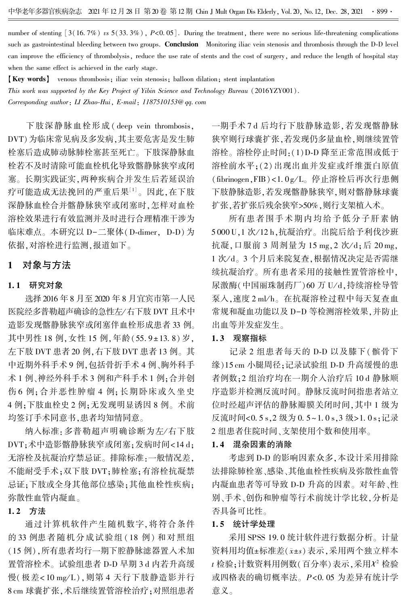number of stenting  $[3(16.7\%)$  vs  $5(33.3\%)$ ,  $P<0.05]$ . During the treatment, there were no serious life-threatening complications such as gastrointestinal bleeding between two groups. Conclusion Monitoring iliac vein stenosis and thrombosis through the D-D level can improve the efficiency of thrombolysis, reduce the use rate of stents and the cost of surgery, and reduce the length of hospital stay when the same effect is achieved in the early stage.

【Key words】 venous thrombosis; iliac vein stenosis; balloon dilation; stent implantation This work was supported by the Key Project of Yibin Science and Technology Bureau (2016YZY001). Corresponding author: LI Zhao-Hui, E-mail: 1187510153@ qq. com

下肢深静脉血栓形成 ( deep vein thrombosis, DVT)为临床常见病及多发病,其主要危害是发生肺 栓塞后造成肺动脉肺栓塞甚至死亡。 下肢深静脉血 栓若不及时清除可能血栓机化导致髂静脉狭窄或闭 塞。 长期实践证实,两种疾病合并发生后若延误治 疗可能造成无法挽回的严重后果<sup>[1]</sup>。因此,在下肢 深静脉血栓合并髂静脉狭窄或闭塞时,怎样对血栓 溶栓效果进行有效监测并及时进行合理精准干涉为 临床难点。 本研究以 D-二聚体(D-dimer, D-D)为 依据,对溶栓进行监测,报道如下。

## 1 对象与方法

#### 1. 1 研究对象

选择 2016 年 8 月至 2020 年 8 月宜宾市第一人民 医院经多普勒超声确诊的急性左/ 右下肢 DVT 且术中 造影发现髂静脉狭窄或闭塞伴血栓形成患者 33 例。 其中男性 18 例, 女性 15 例, 年龄 (55.9±13.8) 岁, 左下肢 DVT 患者 20 例,右下肢 DVT 患者 13 例。 其 中近期外科手术 9 例,包括骨折手术 4 例、胸外科手 术 1 例、神经外科手术 3 例和产科手术 1 例;合并创 伤 6 例;合并恶性肿瘤 4 例;长期卧床或久坐史 4 例;下肢血栓史 2 例;无发现明显诱因 8 例。 术前 均签订手术同意书,患者均知情同意。

纳入标准:多普勒超声明确诊断为左/右下肢 DVT;术中造影髂静脉狭窄或闭塞;发病时间<14 d; 无溶栓及抗凝治疗禁忌证。 排除标准:一般情况差, 不能耐受手术;双下肢 DVT;肺栓塞;有溶栓抗凝禁 忌证;下肢或全身其他部位感染;其他血栓性疾病; 弥散性血管内凝血。

## 1. 2 方法

通过计算机软件产生随机数字,将符合条件 的 33 例患者随机分成试验组 ( 18 例) 和对照组 (15 例),所有患者均行一期下腔静脉滤器置入术加 置管溶栓术。 试验组患者 D-D 早期 3 d 内若升高缓 慢(极差<10 mg/L),则第4天行下肢静造影并行 8 cm 球囊扩张,术后继续置管溶栓治疗;对照组患者

一期手术 7 d 后均行下肢静脉造影,若发现髂静脉 狭窄则行球囊扩张,若发现仍多量血栓,则继续置管 溶栓。 溶栓停止时间:(1)D-D 降至正常范围或低于 溶栓前水平;(2)出现出血并发症或纤维蛋白原值  $(fibrinogen, FIB) < 1.0 g/L<sub>o</sub>$  停止溶栓后再次行患侧 下肢静脉造影,若发现髂静脉狭窄,则对髂静脉球囊 扩张,若扩张后残余狭窄>50%,则行支架植入术。

所有患者围手术期内均给予低分子肝素钠 5 000 U,1 次/ 12 h,抗凝治疗。 出院后给予利伐沙班 抗凝,口服前 3 周剂量为 15 mg, 2 次/d;后 20 mg, 1 次/d。3个月后来院复查,根据情况决定是否需继 续抗凝治疗。 所有患者采用的接触性置管溶栓中, 尿激酶(中国丽珠制药厂)60 万 U/d,持续溶栓导管 泵入,速度 2 ml/h。在抗凝溶栓过程中每天复查血 常规和凝血功能以及 D-D 等检测溶栓效果,并防止 出血等并发症发生。

#### 1. 3 观察指标

记录 2 组患者每天的 D-D 以及膝下(髌骨下 缘)15 cm 小腿周径;记录试验组 D-D 升高缓慢的患 者例数;2 组治疗均在一期介入治疗后 10 d 静脉顺 序造影并检测反流时间。 静脉反流时间指患者站立 位时经超声评估的静脉瓣膜关闭时间,其中 1 级为 反流时间<0. 5 s,2 级为 0. 5~1. 0 s,3 级>1. 0 s;记录 2 组患者住院时间、支架使用个数和使用率。

#### 1. 4 混杂因素的消除

考虑到 D-D 的影响因素众多,本设计采用排除 法排除肺栓塞、感染、其他血栓性疾病及弥散性血管 内凝血患者等可导致 D-D 升高的因素。 对年龄、性 别、手术、创伤和肿瘤等行术前统计学比较,分析是 否具备可比性。

#### 1. 5 统计学处理

采用 SPSS 19. 0 统计软件进行数据分析。 计量 资料用均值±标准差(x±s)表示,采用两个独立样本  $\iota$  检验;计数资料用例数(百分率)表示,采用 $\mathcal{X}^2$  检验 或四格表的确切概率法。 P<0. 05 为差异有统计学 意义。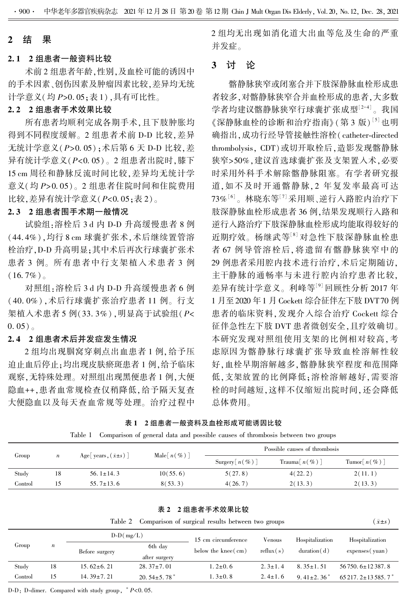### 2 结 果

#### 2. 1 2 组患者一般资料比较

术前 2 组患者年龄,性别,及血栓可能的诱因中 的手术因素、创伤因素及肿瘤因素比较,差异均无统 计学意义(均 P>0. 05;表 1),具有可比性。

## 2. 2 2 组患者手术效果比较

所有患者均顺利完成各期手术,且下肢肿胀均 得到不同程度缓解。 2 组患者术前 D-D 比较,差异 无统计学意义(P>0. 05);术后第 6 天 D-D 比较,差 异有统计学意义(P<0. 05)。 2 组患者出院时,膝下 15 cm 周径和静脉反流时间比较,差异均无统计学 意义(均 P>0. 05)。 2 组患者住院时间和住院费用 比较,差异有统计学意义(P<0. 05;表 2)。

## 2. 3 2 组患者围手术期一般情况

试验组:溶栓后 3 d 内 D-D 升高缓慢患者 8 例 (44. 4%),均行 8 cm 球囊扩张术,术后继续置管溶 栓治疗,D-D 升高明显;其中术后再次行球囊扩张术 患者 3 例。 所有患者中行支架植入术患者 3 例  $(16.7\%)$ 

对照组:溶栓后 3 d 内 D-D 升高缓慢患者 6 例 (40. 0%) ,术后行球囊扩张治疗患者 11 例。 行支 架植入术患者 5 例(33.3%), 明显高于试验组(P<  $0.05$ )

#### 2. 4 2 组患者术后并发症发生情况

2 组均出现腘窝穿刺点出血患者 1 例,给予压 迫止血后停止;均出现皮肤瘀斑患者 1 例,给予临床 观察,无特殊处理。 对照组出现黑便患者 1 例,大便 隐血++,患者血常规检查仅稍降低,给予隔天复查 大便隐血以及每天查血常规等处理。 治疗过程中 2 组均无出现如消化道大出血等危及生命的严重 并发症。

## 3 讨 论

髂静脉狭窄或闭塞合并下肢深静脉血栓形成患 者较多,对髂静脉狭窄合并血栓形成的患者,大多数 学者均建议髂静脉狭窄行球囊扩张成型<sup>[2-4]</sup>。我国 《深静脉血栓的诊断和治疗指南》 (第 3 版 ) <sup>[5]</sup> 也明 确指出,成功行经导管接触性溶栓(catheter-directed thrombolysis, CDT)或切开取栓后,造影发现髂静脉 狭窄>50%,建议首选球囊扩张及支架置入术,必要 时采用外科手术解除髂静脉阻塞。 有学者研究报 道,如不及时开通髂静脉, 2 年复发率最高可达 73%'°'。林晓东等'''采用顺、逆行入路腔内治疗下 肢深静脉血栓形成患者 36 例,结果发现顺行入路和 逆行入路治疗下肢深静脉血栓形成均能取得较好的 近期疗效。 杨继武等[8] 对急性下肢深静脉血栓患 者 67 例导管溶栓后,将遗留有髂静脉狭窄中的 29 例患者采用腔内技术进行治疗,术后定期随访, 主干静脉的通畅率与未进行腔内治疗患者比较, 差异有统计学意义。 利峰等[9] 回顾性分析 2017 年 1 月至 2020 年 1 月 Cockett 综合征伴左下肢 DVT 70 例 患者的临床资料,发现介入综合治疗 Cockett 综合 征伴急性左下肢 DVT 患者微创安全,且疗效确切。 本研究发现对照组使用支架的比例相对较高,考 虑原因为髂静脉行球囊扩张导致血栓溶解性较 好,血栓早期溶解越多,髂静脉狭窄程度和范围降 低,支架放置的比例降低;溶栓溶解越好,需要溶 栓的时间越短,这样不仅缩短出院时间,还会降低 总体费用。

|  |  | 表1 2组患者一般资料及血栓形成可能诱因比较 |
|--|--|------------------------|
|  |  |                        |

|  |  |  |  |  | Table 1 Comparison of general data and possible causes of thrombosis between two groups |
|--|--|--|--|--|-----------------------------------------------------------------------------------------|
|--|--|--|--|--|-----------------------------------------------------------------------------------------|

| Group   | $\boldsymbol{n}$ | Age   years, $(\bar{x} \pm s)$ | Male $\lceil n(\%)\rceil$ | Possible causes of thrombosis |                             |                            |  |
|---------|------------------|--------------------------------|---------------------------|-------------------------------|-----------------------------|----------------------------|--|
|         |                  |                                |                           | Surgery $\lceil n(\%)\rceil$  | Trauma $\lceil n(\%)\rceil$ | Tumor $\lceil n(\%)\rceil$ |  |
| Study   | 18               | 56.1 $\pm$ 14.3                | 10(55.6)                  | 5(27.8)                       | 4(22.2)                     | 2(11.1)                    |  |
| Control |                  | $55.7 \pm 13.6$                | 8(53.3)                   | 4(26.7)                       | 2(13.3)                     | 2(13.3)                    |  |

表 2 2 组患者手术效果比较

|             | Table 2 Comparison of surgical results between two groups | $\bar{x} \pm s$ |
|-------------|-----------------------------------------------------------|-----------------|
| $D-D(mg/L)$ | 15 cm circumference<br>Hospitalization<br>Venous          | Hospitalization |

|         |                  | $D-D$ ( $\text{mg}/\text{L}$ ) |                               | 15 cm circumference          | Venous        | Hospitalization | Hospitalization         |
|---------|------------------|--------------------------------|-------------------------------|------------------------------|---------------|-----------------|-------------------------|
| Group   | $\boldsymbol{n}$ | Before surgery                 | 6th day<br>after surgery      | below the knee $\text{(cm)}$ | reflux(s)     | duration(d)     | expenses (yuan)         |
| Study   | 18               | $15.62 \pm 6.21$               | $28.37 \pm 7.01$              | $1.2 \pm 0.6$                | $2.3 \pm 1.4$ | $8.35 \pm 1.51$ | $56750.6 \pm 12387.8$   |
| Control |                  | $14.39 \pm 7.21$               | 20.54 $\pm$ 5.78 <sup>*</sup> | $1.3 \pm 0.8$                | $2.4 \pm 1.6$ | $9.41 \pm 2.36$ | $65217.2 \pm 13585.7^*$ |

D-D: D-dimer. Compared with study group, <sup>∗</sup> P<0. 05.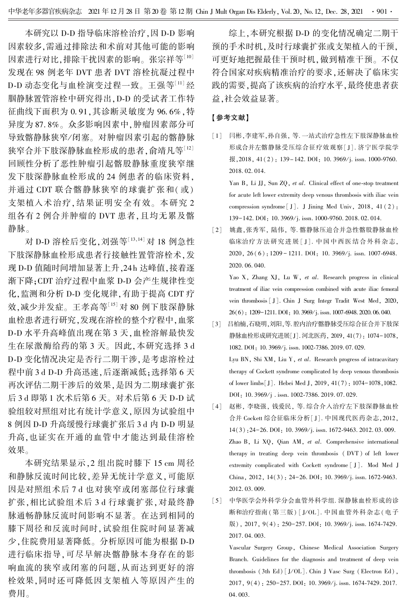本研究以 D-D 指导临床溶栓治疗,因 D-D 影响 因素较多,需通过排除法和术前对其他可能的影响 因素进行对比,排除干扰因素的影响。 张宗祥等[10] 发现在 98 例老年 DVT 患者 DVT 溶栓抗凝过程中 D-D 动态变化与血栓演变过程一致。 王强等[11] 经 腘静脉置管溶栓中研究得出,D-D 的受试者工作特 征曲线下面积为 0. 91,其诊断灵敏度为 96. 6%,特 异度为 87. 8%。 众多影响因素中,肿瘤因素部分可 导致髂静脉狭窄/ 闭塞。 对肿瘤因素引起的髂静脉 狭窄合并下肢深静脉血栓形成的患者,俞靖凡等[12] 回顾性分析了恶性肿瘤引起髂股静脉重度狭窄继 发下肢深静脉血栓形成的 24 例患者的临床资料, 并通过 CDT 联合髂静脉狭窄的球囊扩张和(或) 支架植入术治疗,结果证明安全有效。 本研究 2 组各有 2 例合并肿瘤的 DVT 患者,且均无累及髂 静脉。

对 D-D 溶栓后变化,刘强等[13,14] 对 18 例急性 下肢深静脉血栓形成患者行接触性置管溶栓术,发 现 D-D 值随时间增加显著上升, 24 h 达峰值, 接着逐 渐下降;CDT 治疗过程中血浆 D-D 会产生规律性变 化,监测和分析 D-D 变化规律,有助于提高 CDT 疗 效,减少并发症。 王孝高等[15] 对 80 例下肢深静脉 血栓患者进行研究,发现在溶栓的整个疗程中,血浆 D-D 水平升高峰值出现在第 3 天,血栓溶解最快发 生在尿激酶给药的第 3 天。 因此,本研究选择 3 d D-D 变化情况决定是否行二期干涉,是考虑溶栓过 程中前 3 d D-D 升高迅速,后逐渐减低;选择第 6 天 再次评估二期干涉后的效果,是因为二期球囊扩张 后 3 d 即第 1 次术后第 6 天。 对术后第 6 天 D-D 试 验组较对照组对比有统计学意义,原因为试验组中 8 例因 D-D 升高缓慢行球囊扩张后 3 d 内 D-D 明显 升高,也证实在开通的血管中才能达到最佳溶栓 效果。

本研究结果显示,2 组出院时膝下 15 cm 周径 和静脉反流时间比较,差异无统计学意义,可能原 因是对照组术后 7 d 也对狭窄或闭塞部位行球囊 扩张,相比试验组术后 3 d 行球囊扩张,对最终静 脉通畅静脉反流时间影响不显著。 在达到相同的 膝下周径和反流时间时,试验组住院时间显著减 少,住院费用显著降低。 分析原因可能为根据 D-D 进行临床指导,可尽早解决髂静脉本身存在的影 响血流的狭窄或闭塞的问题,从而达到更好的溶 栓效果,同时还可降低因支架植入等原因产生的 费用。

综上,本研究根据 D-D 的变化情况确定二期干 预的手术时机,及时行球囊扩张或支架植入的干预, 可更好地把握最佳干预时机,做到精准干预。 不仅 符合国家对疾病精准治疗的要求,还解决了临床实 践的需要,提高了该疾病的治疗水平,最终使患者获 益,社会效益显著。

### 【参考文献】

[1] 闫彬,李建军,孙自强, 等. 一站式治疗急性左下肢深静脉血栓 形成合并左髂静脉受压综合征疗效观察[ J]. 济宁医学院学 报, 2018, 41(2): 139-142. DOI: 10. 3969/j. issn. 1000-9760. 2018. 02. 014.

Yan B, Li JJ, Sun ZQ, et al. Clinical effect of one-stop treatment for acute left lower extremity deep venous thrombosis with iliac vein compression syndrome[ J]. J Jining Med Univ, 2018, 41 ( 2): 139-142. DOI: 10. 3969/j. issn. 1000-9760. 2018. 02. 014.

[2] 姚鑫,张秀军, 陆伟, 等. 髂静脉压迫合并急性髂股静脉血栓 临床治疗方法研究进展 [ J ]. 中国中西医结合外科杂志, 2020, 26 (6): 1209 - 1211. DOI: 10. 3969/j. issn. 1007-6948. 2020. 06. 040.

Yao X, Zhang XJ, Lu W, et al. Research progress in clinical treatment of iliac vein compression combined with acute iliac femoral vein thrombosis [ J]. Chin J Surg Integr Tradit West Med, 2020, 26(6): 1209-1211. DOI: 10. 3969/ j. issn. 1007-6948. 2020. 06. 040.

- [3] 吕柏楠,石晓明,刘阳,等. 腔内治疗髂静脉受压综合征合并下肢深 静脉血栓形成研究进展[J]. 河北医药, 2019, 41(7): 1074-1078, 1082. DOI: 10. 3969/j. issn. 1002-7386. 2019. 07. 029. Lyu BN, Shi XM, Liu Y, et al. Research progress of intracavitary therapy of Cockett syndrome complicated by deep venous thrombosis of lower limbs[J]. Hebei Med J, 2019, 41(7): 1074-1078,1082. DOI: 10.3969/j.issn. 1002-7386. 2019. 07.029.
- [4] 赵彬, 李晓强, 钱爱民, 等. 综合介入治疗左下肢深静脉血栓 合并 Cockett 综合征临床分析[ J]. 中国现代医药杂志,2012, 14(3): 24-26. DOI: 10. 3969/j. issn. 1672-9463. 2012. 03. 009. Zhao B, Li XQ, Qian AM, et al. Comprehensive international therapy in treating deep vein thrombosis ( DVT ) of left lower extremity complicated with Cockett syndrome [ J]. Mod Med J China, 2012, 14(3): 24-26. DOI: 10. 3969/j. issn. 1672-9463. 2012. 03. 009.
- [5] 中华医学会外科学分会血管外科学组. 深静脉血栓形成的诊 断和治疗指南(第三版) [ J/OL]. 中国血管外科杂志(电子 版), 2017, 9(4): 250-257. DOI: 10. 3969/j. issn. 1674-7429. 2017. 04. 003.

Vascular Surgery Group, Chinese Medical Association Surgery Branch. Guidelines for the diagnosis and treatment of deep vein thrombosis (3th Ed) [J/OL]. Chin J Vasc Surg (Electron Ed), 2017, 9(4): 250-257. DOI: 10. 3969/j. issn. 1674-7429. 2017. 04. 003.